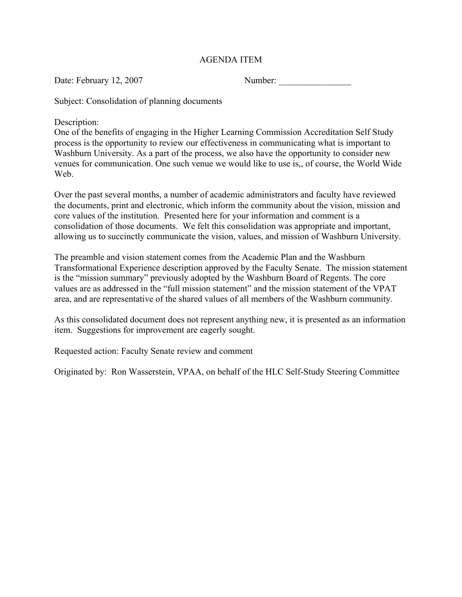## AGENDA ITEM

Date: February 12, 2007 Number: \_\_\_\_\_\_\_\_\_\_\_\_\_\_\_\_

Subject: Consolidation of planning documents

Description:

One of the benefits of engaging in the Higher Learning Commission Accreditation Self Study process is the opportunity to review our effectiveness in communicating what is important to Washburn University. As a part of the process, we also have the opportunity to consider new venues for communication. One such venue we would like to use is,, of course, the World Wide Web.

Over the past several months, a number of academic administrators and faculty have reviewed the documents, print and electronic, which inform the community about the vision, mission and core values of the institution. Presented here for your information and comment is a consolidation of those documents. We felt this consolidation was appropriate and important, allowing us to succinctly communicate the vision, values, and mission of Washburn University.

The preamble and vision statement comes from the Academic Plan and the Washburn Transformational Experience description approved by the Faculty Senate. The mission statement is the "mission summary" previously adopted by the Washburn Board of Regents. The core values are as addressed in the "full mission statement" and the mission statement of the VPAT area, and are representative of the shared values of all members of the Washburn community.

As this consolidated document does not represent anything new, it is presented as an information item. Suggestions for improvement are eagerly sought.

Requested action: Faculty Senate review and comment

Originated by: Ron Wasserstein, VPAA, on behalf of the HLC Self-Study Steering Committee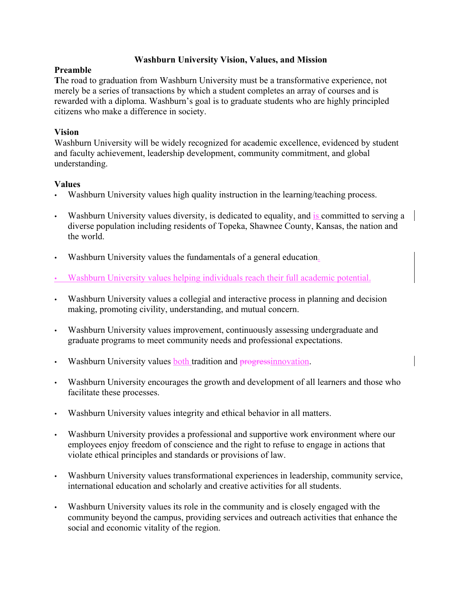# Washburn University Vision, Values, and Mission

#### Preamble

The road to graduation from Washburn University must be a transformative experience, not merely be a series of transactions by which a student completes an array of courses and is rewarded with a diploma. Washburn's goal is to graduate students who are highly principled citizens who make a difference in society.

# Vision

Washburn University will be widely recognized for academic excellence, evidenced by student and faculty achievement, leadership development, community commitment, and global understanding.

## Values

- Washburn University values high quality instruction in the learning/teaching process.
- Washburn University values diversity, is dedicated to equality, and is committed to serving a diverse population including residents of Topeka, Shawnee County, Kansas, the nation and the world.
- Washburn University values the fundamentals of a general education.
- Washburn University values helping individuals reach their full academic potential.
- Washburn University values a collegial and interactive process in planning and decision making, promoting civility, understanding, and mutual concern.
- Washburn University values improvement, continuously assessing undergraduate and graduate programs to meet community needs and professional expectations.
- Washburn University values both tradition and progressinnovation.
- Washburn University encourages the growth and development of all learners and those who facilitate these processes.
- Washburn University values integrity and ethical behavior in all matters.
- Washburn University provides a professional and supportive work environment where our employees enjoy freedom of conscience and the right to refuse to engage in actions that violate ethical principles and standards or provisions of law.
- Washburn University values transformational experiences in leadership, community service, international education and scholarly and creative activities for all students.
- Washburn University values its role in the community and is closely engaged with the community beyond the campus, providing services and outreach activities that enhance the social and economic vitality of the region.